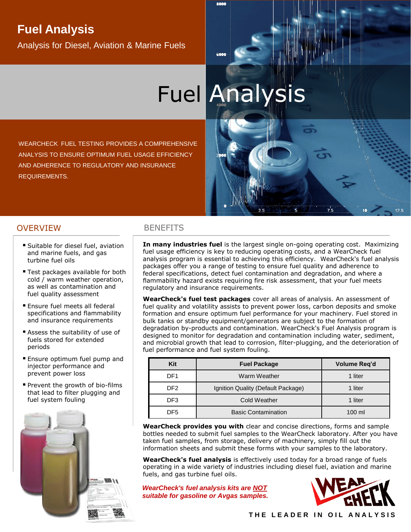## **Fuel Analysis**

Analysis for Diesel, Aviation & Marine Fuels

# Fuel Analysis

WEARCHECK FUEL TESTING PROVIDES A COMPREHENSIVE ANALYSIS TO ENSURE OPTIMUM FUEL USAGE EFFICIENCY AND ADHERENCE TO REGULATORY AND INSURANCE REQUIREMENTS.

### OVERVIEW BENEFITS

- Suitable for diesel fuel, aviation and marine fuels, and gas turbine fuel oils
- Test packages available for both cold / warm weather operation, as well as contamination and fuel quality assessment
- **Ensure fuel meets all federal** specifications and flammability and insurance requirements
- **E** Assess the suitability of use of fuels stored for extended periods
- **Ensure optimum fuel pump and** injector performance and prevent power loss
- **Prevent the growth of bio-films** that lead to filter plugging and fuel system fouling



**In many industries fuel** is the largest single on-going operating cost. Maximizing fuel usage efficiency is key to reducing operating costs, and a WearCheck fuel analysis program is essential to achieving this efficiency. WearCheck's fuel analysis packages offer you a range of testing to ensure fuel quality and adherence to federal specifications, detect fuel contamination and degradation, and where a flammability hazard exists requiring fire risk assessment, that your fuel meets regulatory and insurance requirements.

**WearCheck's fuel test packages** cover all areas of analysis. An assessment of fuel quality and volatility assists to prevent power loss, carbon deposits and smoke formation and ensure optimum fuel performance for your machinery. Fuel stored in bulk tanks or standby equipment/generators are subject to the formation of degradation by-products and contamination. WearCheck's Fuel Analysis program is designed to monitor for degradation and contamination including water, sediment, and microbial growth that lead to corrosion, filter-plugging, and the deterioration of fuel performance and fuel system fouling.

| Kit | <b>Fuel Package</b>                | Volume Req'd     |  |  |
|-----|------------------------------------|------------------|--|--|
| DF1 | Warm Weather                       | 1 liter          |  |  |
| DF2 | Ignition Quality (Default Package) | 1 liter          |  |  |
| DF3 | <b>Cold Weather</b>                | 1 liter          |  |  |
| DF5 | <b>Basic Contamination</b>         | $100 \mathrm{m}$ |  |  |

**WearCheck provides you with** clear and concise directions, forms and sample bottles needed to submit fuel samples to the WearCheck laboratory. After you have taken fuel samples, from storage, delivery of machinery, simply fill out the information sheets and submit these forms with your samples to the laboratory.

**WearCheck's fuel analysis** is effectively used today for a broad range of fuels operating in a wide variety of industries including diesel fuel, aviation and marine fuels, and gas turbine fuel oils.

*WearCheck's fuel analysis kits are NOT suitable for gasoline or Avgas samples.*



 $12.5$